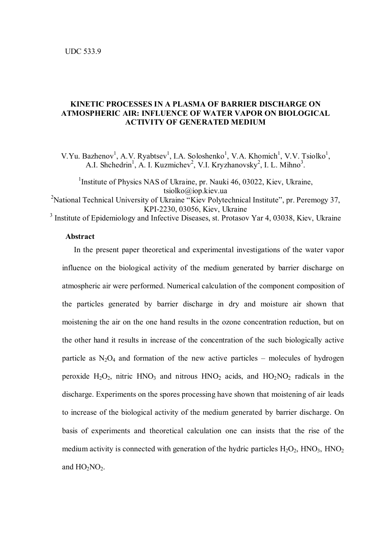# **KINETIC PROCESSES IN A PLASMA OF BARRIER DISCHARGE ON ATMOSPHERIC AIR: INFLUENCE OF WATER VAPOR ON BIOLOGICAL ACTIVITY OF GENERATED MEDIUM**

V.Yu. Bazhenov<sup>1</sup>, A.V. Ryabtsev<sup>1</sup>, I.A. Soloshenko<sup>1</sup>, V.A. Khomich<sup>1</sup>, V.V. Tsiolko<sup>1</sup>, A.I. Shchedrin<sup>1</sup>, A. I. Kuzmichev<sup>2</sup>, V.I. Kryzhanovsky<sup>2</sup>, I. L. Mihno<sup>3</sup>.

<sup>1</sup>Institute of Physics NAS of Ukraine, pr. Nauki 46, 03022, Kiev, Ukraine, tsiolko@iop.kiev.ua

<sup>2</sup>National Technical University of Ukraine "Kiev Polytechnical Institute", pr. Peremogy 37, KPI-2230, 03056, Kiev, Ukraine

<sup>3</sup> Institute of Epidemiology and Infective Diseases, st. Protasov Yar 4, 03038, Kiev, Ukraine

## **Abstract**

 In the present paper theoretical and experimental investigations of the water vapor influence on the biological activity of the medium generated by barrier discharge on atmospheric air were performed. Numerical calculation of the component composition of the particles generated by barrier discharge in dry and moisture air shown that moistening the air on the one hand results in the ozone concentration reduction, but on the other hand it results in increase of the concentration of the such biologically active particle as  $N_2O_4$  and formation of the new active particles – molecules of hydrogen peroxide  $H_2O_2$ , nitric HNO<sub>3</sub> and nitrous HNO<sub>2</sub> acids, and HO<sub>2</sub>NO<sub>2</sub> radicals in the discharge. Experiments on the spores processing have shown that moistening of air leads to increase of the biological activity of the medium generated by barrier discharge. On basis of experiments and theoretical calculation one can insists that the rise of the medium activity is connected with generation of the hydric particles  $H_2O_2$ ,  $HNO_3$ ,  $HNO_2$ and  $HO_2NO_2$ .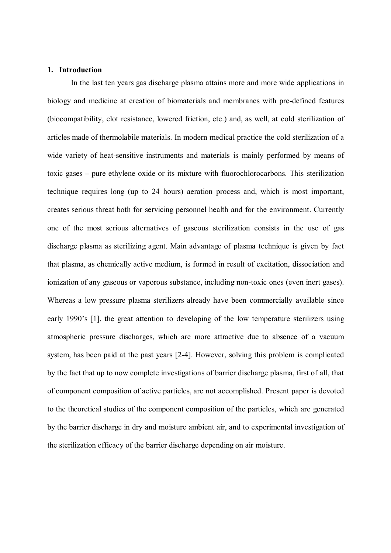### **1. Introduction**

In the last ten years gas discharge plasma attains more and more wide applications in biology and medicine at creation of biomaterials and membranes with pre-defined features (biocompatibility, clot resistance, lowered friction, etc.) and, as well, at cold sterilization of articles made of thermolabile materials. In modern medical practice the cold sterilization of a wide variety of heat-sensitive instruments and materials is mainly performed by means of toxic gases – pure ethylene oxide or its mixture with fluorochlorocarbons. This sterilization technique requires long (up to 24 hours) aeration process and, which is most important, creates serious threat both for servicing personnel health and for the environment. Currently one of the most serious alternatives of gaseous sterilization consists in the use of gas discharge plasma as sterilizing agent. Main advantage of plasma technique is given by fact that plasma, as chemically active medium, is formed in result of excitation, dissociation and ionization of any gaseous or vaporous substance, including non-toxic ones (even inert gases). Whereas a low pressure plasma sterilizers already have been commercially available since early 1990's [1], the great attention to developing of the low temperature sterilizers using atmospheric pressure discharges, which are more attractive due to absence of a vacuum system, has been paid at the past years [2-4]. However, solving this problem is complicated by the fact that up to now complete investigations of barrier discharge plasma, first of all, that of component composition of active particles, are not accomplished. Present paper is devoted to the theoretical studies of the component composition of the particles, which are generated by the barrier discharge in dry and moisture ambient air, and to experimental investigation of the sterilization efficacy of the barrier discharge depending on air moisture.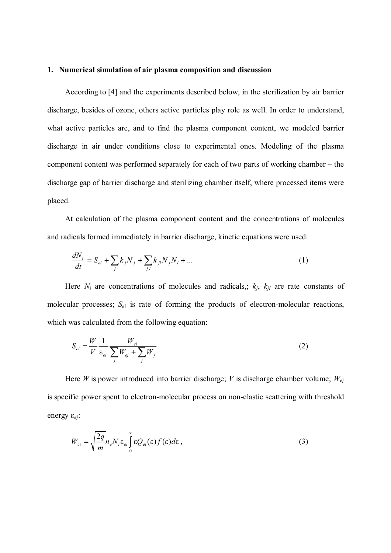#### **1. Numerical simulation of air plasma composition and discussion**

According to [4] and the experiments described below, in the sterilization by air barrier discharge, besides of ozone, others active particles play role as well. In order to understand, what active particles are, and to find the plasma component content, we modeled barrier discharge in air under conditions close to experimental ones. Modeling of the plasma component content was performed separately for each of two parts of working chamber – the discharge gap of barrier discharge and sterilizing chamber itself, where processed items were placed.

At calculation of the plasma component content and the concentrations of molecules and radicals formed immediately in barrier discharge, kinetic equations were used:

$$
\frac{dN_i}{dt} = S_{ei} + \sum_j k_j N_j + \sum_{j,l} k_{jl} N_j N_l + \dots
$$
 (1)

Here  $N_i$  are concentrations of molecules and radicals,;  $k_j$ ,  $k_{jl}$  are rate constants of molecular processes; *Sei* is rate of forming the products of electron-molecular reactions, which was calculated from the following equation:

$$
S_{ei} = \frac{W}{V} \frac{1}{\varepsilon_{ei}} \frac{W_{ei}}{\sum_{j} W_{ej} + \sum_{j} W_{j}}.
$$
 (2)

Here *W* is power introduced into barrier discharge; *V* is discharge chamber volume; *Wej* is specific power spent to electron-molecular process on non-elastic scattering with threshold energy ε*ej*:

$$
W_{ei} = \sqrt{\frac{2q}{m}} n_e N_i \varepsilon_{ei} \int_0^\infty \varepsilon Q_{ei}(\varepsilon) f(\varepsilon) d\varepsilon , \qquad (3)
$$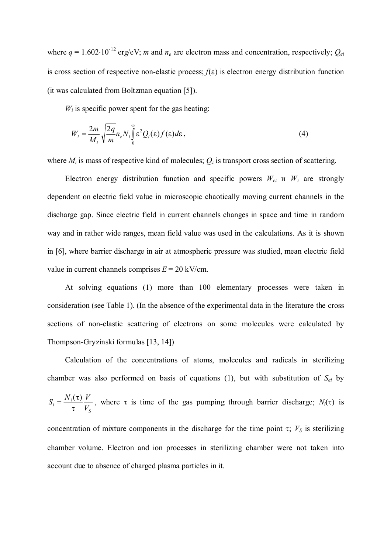where  $q = 1.602 \cdot 10^{-12}$  erg/eV; *m* and  $n_e$  are electron mass and concentration, respectively;  $Q_{ei}$ is cross section of respective non-elastic process; *f*(ε) is electron energy distribution function (it was calculated from Boltzman equation [5]).

 $W_i$  is specific power spent for the gas heating:

$$
W_i = \frac{2m}{M_i} \sqrt{\frac{2q}{m}} n_e N_i \int_0^\infty \varepsilon^2 Q_i(\varepsilon) f(\varepsilon) d\varepsilon , \qquad (4)
$$

where  $M_i$  is mass of respective kind of molecules;  $Q_i$  is transport cross section of scattering.

Electron energy distribution function and specific powers  $W_{ei}$  u  $W_i$  are strongly dependent on electric field value in microscopic chaotically moving current channels in the discharge gap. Since electric field in current channels changes in space and time in random way and in rather wide ranges, mean field value was used in the calculations. As it is shown in [6], where barrier discharge in air at atmospheric pressure was studied, mean electric field value in current channels comprises  $E = 20$  kV/cm.

At solving equations (1) more than 100 elementary processes were taken in consideration (see Table 1). (In the absence of the experimental data in the literature the cross sections of non-elastic scattering of electrons on some molecules were calculated by Thompson-Gryzinski formulas [13, 14])

Calculation of the concentrations of atoms, molecules and radicals in sterilizing chamber was also performed on basis of equations (1), but with substitution of *Sei* by *S*  $i = \frac{iv_i(v)}{\tau} \frac{v}{V}$  $S_i = \frac{N_i(\tau)}{N} \frac{V}{V}$ τ  $=\frac{N_i(\tau)}{V_i}$ , where  $\tau$  is time of the gas pumping through barrier discharge; *N<sub>i</sub>*( $\tau$ ) is concentration of mixture components in the discharge for the time point  $\tau$ ;  $V_s$  is sterilizing chamber volume. Electron and ion processes in sterilizing chamber were not taken into account due to absence of charged plasma particles in it.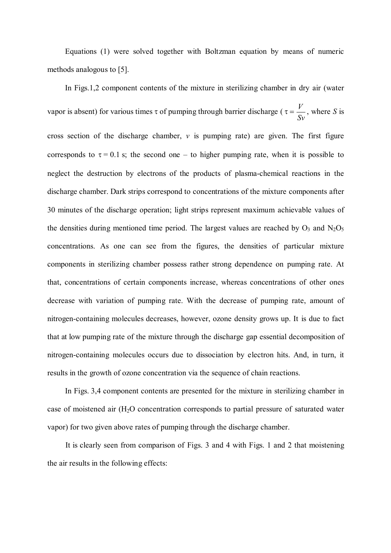Equations (1) were solved together with Boltzman equation by means of numeric methods analogous to [5].

In Figs.1,2 component contents of the mixture in sterilizing chamber in dry air (water vapor is absent) for various times  $\tau$  of pumping through barrier discharge ( $\tau = \frac{V}{Sv}$ , where *S* is cross section of the discharge chamber,  $\nu$  is pumping rate) are given. The first figure corresponds to  $\tau = 0.1$  s; the second one – to higher pumping rate, when it is possible to neglect the destruction by electrons of the products of plasma-chemical reactions in the discharge chamber. Dark strips correspond to concentrations of the mixture components after 30 minutes of the discharge operation; light strips represent maximum achievable values of the densities during mentioned time period. The largest values are reached by  $O_3$  and  $N_2O_5$ concentrations. As one can see from the figures, the densities of particular mixture components in sterilizing chamber possess rather strong dependence on pumping rate. At that, concentrations of certain components increase, whereas concentrations of other ones decrease with variation of pumping rate. With the decrease of pumping rate, amount of nitrogen-containing molecules decreases, however, ozone density grows up. It is due to fact that at low pumping rate of the mixture through the discharge gap essential decomposition of nitrogen-containing molecules occurs due to dissociation by electron hits. And, in turn, it results in the growth of ozone concentration via the sequence of chain reactions.

In Figs. 3,4 component contents are presented for the mixture in sterilizing chamber in case of moistened air (H2O concentration corresponds to partial pressure of saturated water vapor) for two given above rates of pumping through the discharge chamber.

It is clearly seen from comparison of Figs. 3 and 4 with Figs. 1 and 2 that moistening the air results in the following effects: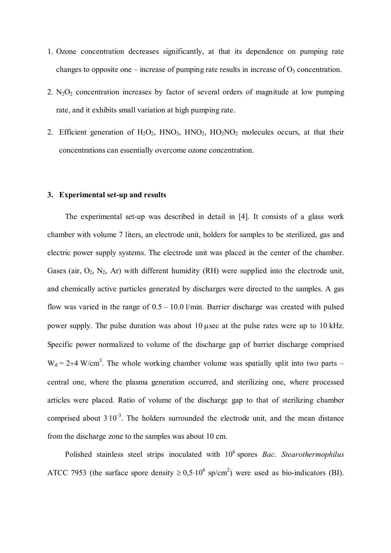- 1. Ozone concentration decreases significantly, at that its dependence on pumping rate changes to opposite one – increase of pumping rate results in increase of  $O_3$  concentration.
- 2.  $N_2O_2$  concentration increases by factor of several orders of magnitude at low pumping rate, and it exhibits small variation at high pumping rate.
- 2. Efficient generation of  $H_2O_2$ ,  $HNO_3$ ,  $HNO_2$ ,  $HO_2NO_2$  molecules occurs, at that their concentrations can essentially overcome ozone concentration.

#### **3. Experimental set-up and results**

The experimental set-up was described in detail in [4]. It consists of a glass work chamber with volume 7 liters, an electrode unit, holders for samples to be sterilized, gas and electric power supply systems. The electrode unit was placed in the center of the chamber. Gases (air,  $O_2$ , N<sub>2</sub>, Ar) with different humidity (RH) were supplied into the electrode unit, and chemically active particles generated by discharges were directed to the samples. A gas flow was varied in the range of  $0.5 - 10.0$  l/min. Barrier discharge was created with pulsed power supply. The pulse duration was about 10 µsec at the pulse rates were up to 10 kHz. Specific power normalized to volume of the discharge gap of barrier discharge comprised  $W_d = 2 + 4$  W/cm<sup>3</sup>. The whole working chamber volume was spatially split into two parts – central one, where the plasma generation occurred, and sterilizing one, where processed articles were placed. Ratio of volume of the discharge gap to that of sterilizing chamber comprised about  $3 \times 10^{-3}$ . The holders surrounded the electrode unit, and the mean distance from the discharge zone to the samples was about 10 cm.

Polished stainless steel strips inoculated with 10<sup>6</sup> spores *Bac. Stearothermophilus* ATCC 7953 (the surface spore density  $\geq 0.5 \cdot 10^6$  sp/cm<sup>2</sup>) were used as bio-indicators (BI).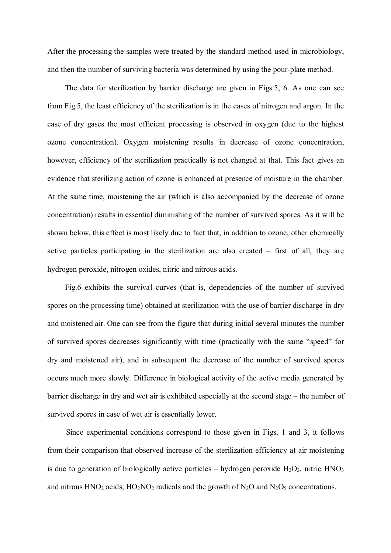After the processing the samples were treated by the standard method used in microbiology, and then the number of surviving bacteria was determined by using the pour-plate method.

The data for sterilization by barrier discharge are given in Figs.5, 6. As one can see from Fig.5, the least efficiency of the sterilization is in the cases of nitrogen and argon. In the case of dry gases the most efficient processing is observed in oxygen (due to the highest ozone concentration). Oxygen moistening results in decrease of ozone concentration, however, efficiency of the sterilization practically is not changed at that. This fact gives an evidence that sterilizing action of ozone is enhanced at presence of moisture in the chamber. At the same time, moistening the air (which is also accompanied by the decrease of ozone concentration) results in essential diminishing of the number of survived spores. As it will be shown below, this effect is most likely due to fact that, in addition to ozone, other chemically active particles participating in the sterilization are also created – first of all, they are hydrogen peroxide, nitrogen oxides, nitric and nitrous acids.

Fig.6 exhibits the survival curves (that is, dependencies of the number of survived spores on the processing time) obtained at sterilization with the use of barrier discharge in dry and moistened air. One can see from the figure that during initial several minutes the number of survived spores decreases significantly with time (practically with the same "speed" for dry and moistened air), and in subsequent the decrease of the number of survived spores occurs much more slowly. Difference in biological activity of the active media generated by barrier discharge in dry and wet air is exhibited especially at the second stage – the number of survived spores in case of wet air is essentially lower.

Since experimental conditions correspond to those given in Figs. 1 and 3, it follows from their comparison that observed increase of the sterilization efficiency at air moistening is due to generation of biologically active particles – hydrogen peroxide  $H_2O_2$ , nitric  $HNO_3$ and nitrous  $HNO<sub>2</sub>$  acids,  $HO<sub>2</sub>NO<sub>2</sub>$  radicals and the growth of  $N<sub>2</sub>O$  and  $N<sub>2</sub>O<sub>5</sub>$  concentrations.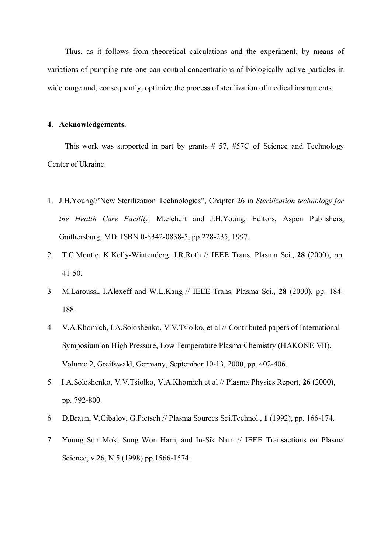Thus, as it follows from theoretical calculations and the experiment, by means of variations of pumping rate one can control concentrations of biologically active particles in wide range and, consequently, optimize the process of sterilization of medical instruments.

### **4. Acknowledgements.**

This work was supported in part by grants # 57, #57C of Science and Technology Center of Ukraine.

- 1. J.H.Young//'New Sterilization Technologies", Chapter 26 in *Sterilization technology for the Health Care Facility,* M.eichert and J.H.Young, Editors, Aspen Publishers, Gaithersburg, MD, ISBN 0-8342-0838-5, pp.228-235, 1997.
- 2 T.C.Montie, K.Kelly-Wintenderg, J.R.Roth // IEEE Trans. Plasma Sci., **28** (2000), pp. 41-50.
- 3 M.Laroussi, I.Alexeff and W.L.Kang // IEEE Trans. Plasma Sci., **28** (2000), pp. 184- 188.
- 4 V.A.Khomich, I.A.Soloshenko, V.V.Tsiolko, et al // Contributed papers of International Symposium on High Pressure, Low Temperature Plasma Chemistry (HAKONE VII), Volume 2, Greifswald, Germany, September 10-13, 2000, pp. 402-406.
- 5 I.A.Soloshenko, V.V.Tsiolko, V.A.Khomich et al // Plasma Physics Report, **26** (2000), pp. 792-800.
- 6 D.Braun, V.Gibalov, G.Pietsch // Plasma Sources Sci.Technol., **1** (1992), pp. 166-174.
- 7 Young Sun Mok, Sung Won Ham, and In-Sik Nam // IEEE Transactions on Plasma Science, v.26, N.5 (1998) pp.1566-1574.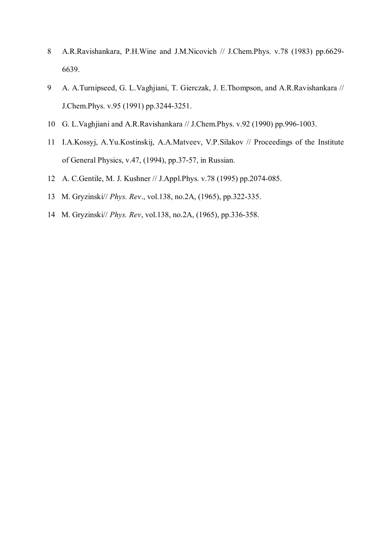- 8 A.R.Ravishankara, P.H.Wine and J.M.Nicovich // J.Chem.Phys. v.78 (1983) pp.6629- 6639.
- 9 A. A.Turnipseed, G. L.Vaghjiani, T. Gierczak, J. E.Thompson, and A.R.Ravishankara // J.Chem.Phys. v.95 (1991) pp.3244-3251.
- 10 G. L.Vaghjiani and A.R.Ravishankara // J.Chem.Phys. v.92 (1990) pp.996-1003.
- 11 I.A.Kossyj, A.Yu.Kostinskij, A.A.Matveev, V.P.Silakov // Proceedings of the Institute of General Physics, v.47, (1994), pp.37-57, in Russian.
- 12 A. C.Gentile, M. J. Kushner // J.Appl.Phys. v.78 (1995) pp.2074-085.
- 13 M. Gryzinski// *Phys. Rev*., vol.138, no.2A, (1965), pp.322-335.
- 14 M. Gryzinski// *Phys. Rev*, vol.138, no.2A, (1965), pp.336-358.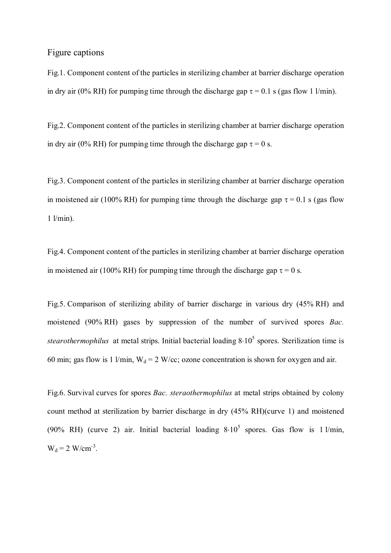# Figure captions

Fig.1. Component content of the particles in sterilizing chamber at barrier discharge operation in dry air (0% RH) for pumping time through the discharge gap  $\tau = 0.1$  s (gas flow 1 l/min).

Fig.2. Component content of the particles in sterilizing chamber at barrier discharge operation in dry air (0% RH) for pumping time through the discharge gap  $\tau = 0$  s.

Fig.3. Component content of the particles in sterilizing chamber at barrier discharge operation in moistened air (100% RH) for pumping time through the discharge gap  $\tau = 0.1$  s (gas flow  $1$   $l/min$ ).

Fig.4. Component content of the particles in sterilizing chamber at barrier discharge operation in moistened air (100% RH) for pumping time through the discharge gap  $\tau = 0$  s.

Fig.5. Comparison of sterilizing ability of barrier discharge in various dry (45% RH) and moistened (90% RH) gases by suppression of the number of survived spores *Bac. stearothermophilus* at metal strips. Initial bacterial loading 8⋅10<sup>5</sup> spores. Sterilization time is 60 min; gas flow is 1 l/min,  $W_d = 2$  W/cc; ozone concentration is shown for oxygen and air.

Fig.6. Survival curves for spores *Bac. steraothermophilus* at metal strips obtained by colony count method at sterilization by barrier discharge in dry (45% RH)(curve 1) and moistened (90% RH) (curve 2) air. Initial bacterial loading  $8·10<sup>5</sup>$  spores. Gas flow is 1 l/min,  $W_d = 2$  W/cm<sup>-3</sup>.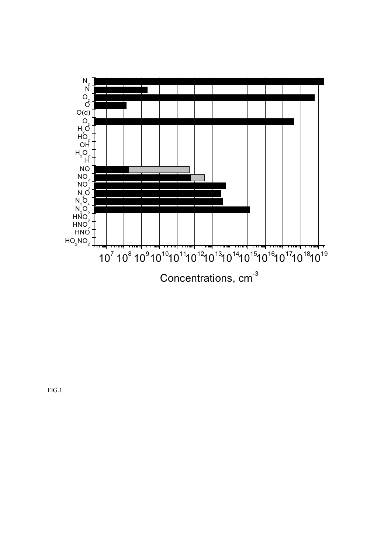

FIG.1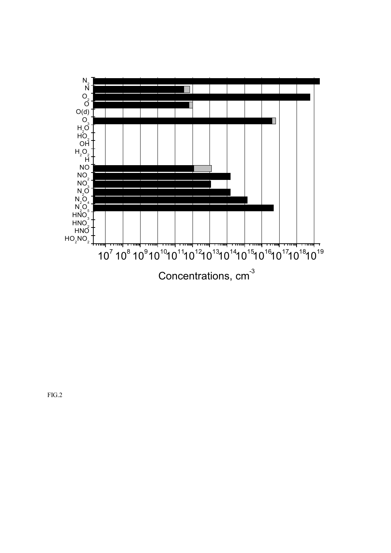

FIG.2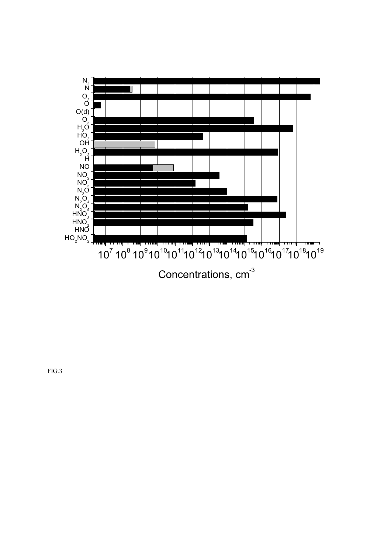

FIG.3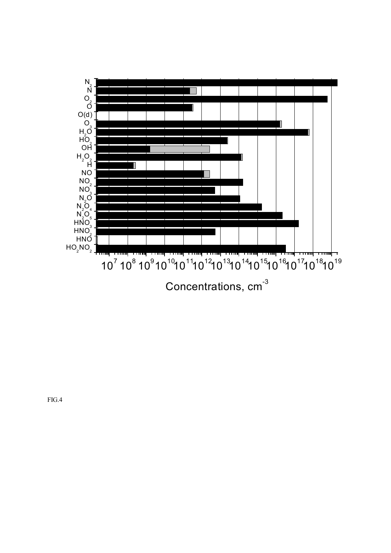

FIG.4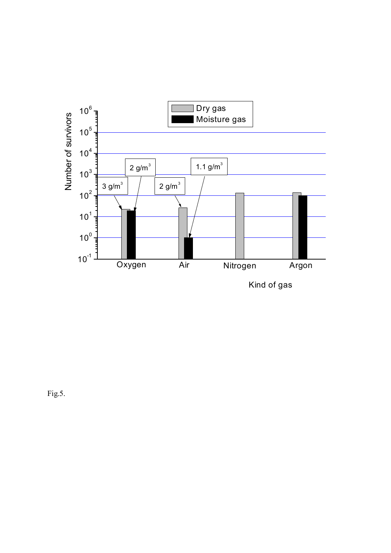

Fig.5.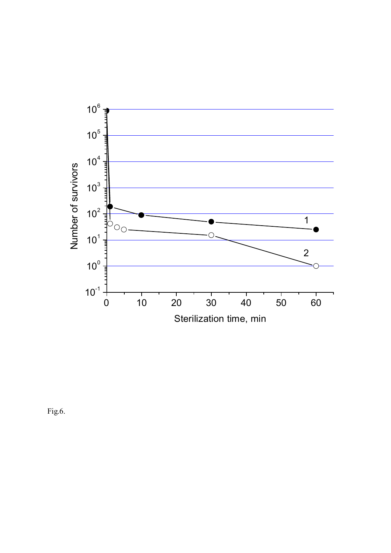

Fig.6.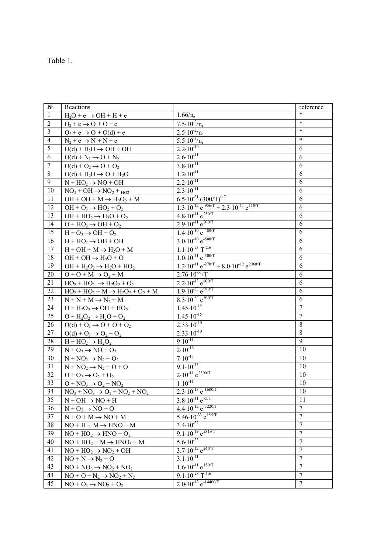| ш<br>r I |  |
|----------|--|
|          |  |

| $N_{2}$         | Reactions                                      |                                                                                     | reference        |
|-----------------|------------------------------------------------|-------------------------------------------------------------------------------------|------------------|
| $\mathbf{1}$    | $H_2O + e \rightarrow OH + H + e$              | $1.66/n_e$                                                                          | $\ast$           |
| $\sqrt{2}$      | $O_2$ + e $\rightarrow$ O + O + e              | $7.5 \cdot 10^{-2}$ /n <sub>e</sub>                                                 | $\ast$           |
| $\mathfrak{Z}$  | $O_2$ + e $\rightarrow$ O + O(d) + e           | $2.5 \cdot 10^{-2}/n_e$                                                             | $\ast$           |
| $\overline{4}$  | $N_2 + e \rightarrow N + N + e$                | $5.5 \cdot 10^{-3}/n_e$                                                             | $\ast$           |
| $\overline{5}$  | $O(d) + H_2O \rightarrow OH + OH$              | $2.2 \cdot 10^{-10}$                                                                | 6                |
| 6               | $O(d) + N_2 \rightarrow O + N_2$               | $2.6 \cdot 10^{-11}$                                                                | 6                |
| $\overline{7}$  | $O(d) + O_2 \rightarrow O + O_2$               | $3.8 \cdot 10^{-11}$                                                                | 6                |
| $\,8\,$         | $O(d) + H2O \rightarrow O + H2O$               | $1.2 \cdot 10^{-11}$                                                                | 6                |
| $\overline{9}$  | $N + HO2 \rightarrow NO + OH$                  | $2.2 \cdot 10^{-11}$                                                                | 6                |
| 10              | $NO3 + OH \rightarrow NO2 +HO2$                | $2.\overline{3.10^{-11}}$                                                           | 6                |
| $\overline{11}$ | $OH + OH + M \rightarrow H_2O_2 + M$           | $6.5 \cdot 10^{-31} (300/T)^{0.7}$                                                  | 6                |
| $\overline{12}$ | $OH + O_3 \rightarrow HO_2 + O_2$              | $1.3 \cdot 10^{-12}$ e <sup>-956/T</sup> + 2.3 $\cdot 10^{-11}$ e <sup>110/T</sup>  | 6                |
| $\overline{13}$ | $OH + HO_2 \rightarrow H_2O + O_2$             | $4.8 \cdot 10^{-11}$ e <sup>250/T</sup>                                             | 6                |
| 14              | $O + HO2 \rightarrow OH + O2$                  | $2.9.10^{-11}$ e <sup>200/T</sup>                                                   | 6                |
| 15              | $H + O_3 \rightarrow OH + O_2$                 | $1.4 \cdot 10^{-10}$ e <sup>-480/T</sup>                                            | 6                |
| 16              | $H + HO2 \rightarrow OH + OH$                  | $3.0 \cdot 10^{-10}$ e <sup>-500/T</sup>                                            | 6                |
| 17              | $H + OH + M \rightarrow H2O + M$               | $1.1 \cdot 10^{-23}$ T <sup>-2.6</sup>                                              | 6                |
| 18              | $OH + OH \rightarrow H2O + O$                  | $1.0 \cdot 10^{-11}$ e <sup>-500/T</sup>                                            | 6                |
| 19              | $OH + H2O2 \rightarrow H2O + HO2$              | $1.2 \cdot 10^{-11}$ e <sup>-270/T</sup> + 8.0 $\cdot 10^{-12}$ e <sup>2060/T</sup> | 6                |
| 20              | $O + O + M \rightarrow O_2 + M$                | $2.76 \cdot 10^{-31} / T$                                                           | 6                |
| $\overline{21}$ | $HO_2 + HO_2 \rightarrow H_2O_2 + O_2$         | $2.2 \cdot 10^{-13}$ e <sup>600/T</sup>                                             | 6                |
| 22              | $HO_2 + HO_2 + M \rightarrow H_2O_2 + O_2 + M$ | $1.9.10^{-33}$ e <sup>980/T</sup>                                                   | 6                |
| $\overline{23}$ | $N + N + M \rightarrow N_2 + M$                | $8.3 \cdot 10^{-34} e^{500/T}$                                                      | 6                |
| 24              | $O + H2O2 \rightarrow OH + HO2$                | $1.45 \cdot 10^{-15}$                                                               | $\overline{7}$   |
| 25              | $O + H2O2 \rightarrow H2O + O2$                | $1.45 \cdot 10^{-15}$                                                               | $\overline{7}$   |
| 26              | $O(d) + O_3 \rightarrow O + O + O_2$           | $2.33 \cdot 10^{-10}$                                                               | 8                |
| $\overline{27}$ | $O(d) + O_3 \rightarrow O_2 + O_2$             | $2.33 \cdot 10^{-10}$                                                               | 8                |
| 28              | $H + HO2 \rightarrow H2O2$                     | $9.10^{-11}$                                                                        | 9                |
| 29              | $N + O_3 \rightarrow NO + O_2$                 | $2.10^{-16}$                                                                        | 10               |
| 30              | $N + NO_2 \rightarrow N_2 + O_2$               | $7.10^{-13}$                                                                        | 10               |
| $\overline{31}$ | $N + NO_2 \rightarrow N_2 + O + O$             | $9.1 \cdot 10^{-13}$                                                                | 10               |
| 32              | $O+O_3 \rightarrow O_2 + O_2$                  | $2.10^{-11}$ e <sup>2300/T</sup>                                                    | 10               |
| 33              | $O + NO3 \rightarrow O2 + NO2$                 | $1.10^{-11}$                                                                        | 10               |
| 34              | $NO3 + NO3 \rightarrow O2 + NO2 + NO2$         | $2.3 \cdot 10^{-13}$ e <sup>-1600/T</sup>                                           | 10               |
| 35              | $N + OH \rightarrow NO + H$                    | $3.8 \cdot 10^{-11}$ e <sup>85/T</sup>                                              | 11               |
| 36              | $N + O_2 \rightarrow NO + O$                   | $4.4 \cdot 10^{-12}$ e <sup>-3220/T</sup>                                           | $\overline{7}$   |
| 37              | $N + O + M \rightarrow NO + M$                 | $5.46 \cdot 10^{-33}$ e <sup>155/T</sup>                                            | $\overline{7}$   |
| 38              | $NO + H + M \rightarrow HNO + M$               | $3.4 \cdot 10^{-32}$                                                                | $\overline{7}$   |
| 39              | $NO + HO_2 \rightarrow HNO + O_2$              | $9.1 \cdot 10^{-19}$ e <sup>2819/T</sup>                                            | $\boldsymbol{7}$ |
| 40              | $NO + HO2 + M \rightarrow HNO3 + M$            | $5.6 \cdot \overline{10^{-33}}$                                                     | $\overline{7}$   |
| 41              | $NO + HO2 \rightarrow NO2 + OH$                | $3.7 \cdot 10^{-12}$ e <sup>240/T</sup>                                             | $\tau$           |
| 42              | $NO + N \rightarrow N_2 + O$                   | $3.1 \cdot 10^{-11}$                                                                | 7                |
| 43              | $NO + NO3 \rightarrow NO2 + NO2$               | $1.6 \cdot 10^{-11}$ e <sup>150/T</sup>                                             | $\overline{7}$   |
| 44              | $NO + O + N_2 \rightarrow NO_2 + N_2$          | $9.1 \cdot 10^{-28}$ T <sup>-1.6</sup>                                              | 7                |
| 45              | $NO + O_3 \rightarrow NO_2 + O_2$              | $2.0 \cdot 10^{-12}$ e <sup>-14400/T</sup>                                          | $7\phantom{.0}$  |
|                 |                                                |                                                                                     |                  |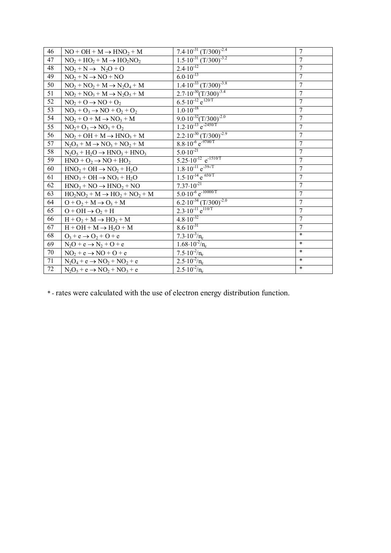| 46              | $NO + OH + M \rightarrow HNO_2 + M$                              | $7.4 \cdot 10^{-31} (T/300)^{-2.4}$               | $\overline{7}$ |
|-----------------|------------------------------------------------------------------|---------------------------------------------------|----------------|
| 47              | $NO2 + HO2 + M \rightarrow HO2NO2$                               | $1.5 \cdot 10^{-31}$ $(T/300)^{-3.2}$             | $\overline{7}$ |
| 48              | $NO2 + N \rightarrow N2O + O$                                    | $2.4 \cdot 10^{-12}$                              | $\overline{7}$ |
| 49              | $NO2 + N \rightarrow NO + NO$                                    | $6.0 \cdot 10^{-13}$                              | $\overline{7}$ |
| 50              | $NO2 + NO2 + M \rightarrow N2O4 + M$                             | $1.4 \cdot 10^{-33}$ $(T/300)^{-3.8}$             | $\overline{7}$ |
| 51              | $NO2 + NO3 + M \rightarrow N2O5 + M$                             | $2.7 \cdot 10^{-30} (T/300)^{-3.4}$               | $\overline{7}$ |
| $\overline{52}$ | $NO2 + O \rightarrow NO + O2$                                    | $6.5 \cdot 10^{-12}$ e <sup>120/T</sup>           | $\overline{7}$ |
| 53              | $NO2 + O3 \rightarrow NO + O2 + O2$                              | $1.0 \cdot 10^{-18}$                              | $\overline{7}$ |
| 54              | $NO2 + O + M \rightarrow NO3 + M$                                | $9.0 \cdot 10^{-32} (T/300)^{-2.0}$               | $\overline{7}$ |
| 55              | $NO2+O3 \rightarrow NO3+O2$                                      | $1.2 \cdot 10^{-13}$ e <sup>-2450/T</sup>         | $\overline{7}$ |
| $\overline{56}$ | $NO2 + OH + M \rightarrow HNO3 + M$                              | $2.2 \cdot 10^{-30}$ $(T/300)^{-2.9}$             | $\overline{7}$ |
| $\overline{57}$ | $N_2O_5 + M \rightarrow NO_3 + NO_2 + M$                         | $8.8 \cdot 10^{-6} e^{-9700/T}$                   | $\overline{7}$ |
| 58              | $N_2O_5 + H_2O \rightarrow HNO_3 + HNO_3$                        | $5.0.10^{-21}$                                    | $\overline{7}$ |
| 59              | $HNO + O2 \rightarrow NO + HO2$                                  | $5.25 \cdot 10^{-12}$ e <sup>-1510/T</sup>        | $\overline{7}$ |
| 60              | $HNO2 + OH \rightarrow NO2 + H2O$                                | $1.8\cdot\overline{10^{-11}}$ e <sup>-39-/T</sup> | $\overline{7}$ |
| 61              | $HNO3 + OH \rightarrow NO3 + H2O$                                | $1.5 \cdot 10^{-14}$ e 650/T                      | $\overline{7}$ |
| 62              | $HNO3 + NO \rightarrow HNO2 + NO$                                | $7.37 \cdot 10^{-21}$                             | $\tau$         |
| 63              | $HO_2NO_2 + M \rightarrow HO_2 + NO_2 + M$                       | $5.0 \cdot 10^{-6}$ e <sup>-10000/T</sup>         | $\overline{7}$ |
| 64              | $O + O_2 + M \rightarrow O_3 + M$                                | $6.2 \cdot 10^{-34}$ $(T/300)^{-2.0}$             | $\overline{7}$ |
| 65              | $O + OH \rightarrow O_2 + H$                                     | $2.3 \cdot 10^{-11} e^{110/T}$                    | $\overline{7}$ |
| 66              | $H + O_2 + M \rightarrow HO_2 + M$                               | $4.8 \cdot 10^{-32}$                              | $\overline{7}$ |
| 67              | $H + OH + M \rightarrow H_2O + M$                                | $8.6 \cdot 10^{-31}$                              | $\overline{7}$ |
| 68              | $O_3$ + e $\rightarrow$ O <sub>2</sub> + O + e                   | $7.3 \cdot 10^{-3}/n_e$                           | $\ast$         |
| 69              | $N_2O + e \rightarrow N_2 + O + e$                               | $1.68 \cdot 10^{-2}/n_e$                          | $\ast$         |
| 70              | $NO2 + e \rightarrow NO + O + e$                                 | $7.5 \cdot 10^{-2}/n_e$                           | $\ast$         |
| 71              | $N_2O_4$ + e $\rightarrow$ NO <sub>2</sub> + NO <sub>2</sub> + e | $2.5 \cdot 10^{-2}$ /n <sub>e</sub>               | $\ast$         |
| 72              | $N_2O_5 + e \rightarrow NO_2 + NO_3 + e$                         | $2.5 \cdot 10^{-2}/n_e$                           | $\ast$         |

\* - rates were calculated with the use of electron energy distribution function.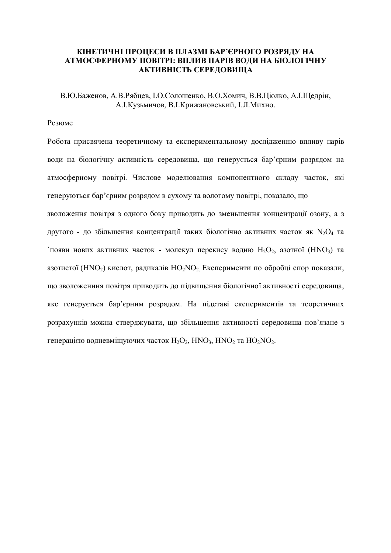## **КІНЕТИЧНІ ПРОЦЕСИ В ПЛАЗМІ БАР'ЄРНОГО РОЗРЯДУ НА АТМОСФЕРНОМУ ПОВІТРІ: ВПЛИВ ПАРІВ ВОДИ НА БІОЛОГІЧНУ АКТИВНІСТЬ СЕРЕДОВИЩА**

В.Ю.Баженов, А.В.Рябцев, І.О.Солошенко, В.О.Хомич, В.В.Ціолко, А.І.Щедрін, А.І.Кузьмичов, В.І.Крижановський, І.Л.Михно.

### Резюме

Робота присвячена теоретичному та експериментальному дослідженню впливу парів води на біологічну активність середовища, що генерується бар'єрним розрядом на атмосферному повітрі. Числове моделювання компонентного складу часток, які генеруються бар'єрним розрядом в сухому та вологому повітрі, показало, що зволоження повітря з одного боку приводить до зменьшення концентрації озону, а з другого - до збільшення концентрації таких біологічно активних часток як  $N_2O_4$  та  $\Gamma$ появи нових активних часток - молекул перекису водню  $H_2O_2$ , азотної (HNO<sub>3</sub>) та азотистої (HNO<sub>2</sub>) кислот, радикалів  $HO_2NO_2$ . Експерименти по обробці спор показали, що зволоженння повітря приводить до підвищення біологічної активності середовища, яке генерується бар'єрним розрядом. На підставі експериментів та теоретичних розрахунків можна стверджувати, що збільшення активності середовища пов'язане з генерацією водневміщуючих часток  $H_2O_2$ ,  $HNO_3$ ,  $HNO_2$  та  $HO_2NO_2$ .